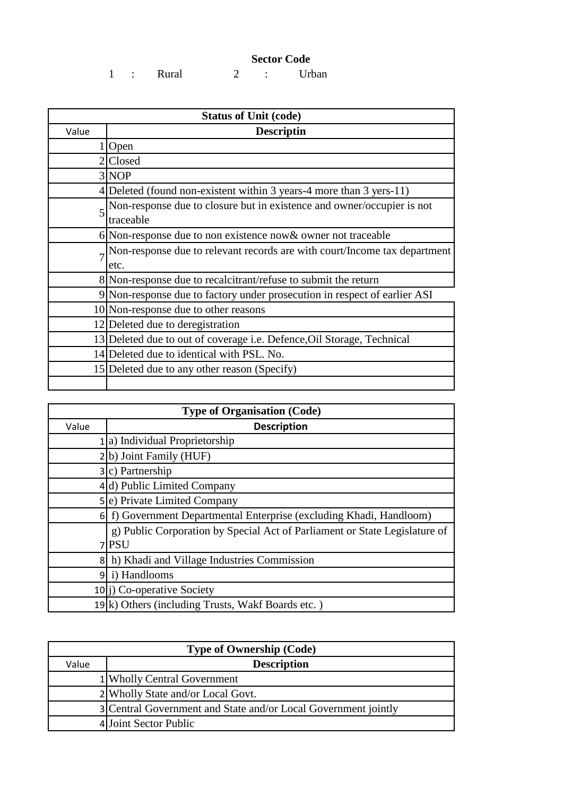## **Sector Code**

1 : Rural 2 : Urban

| <b>Status of Unit (code)</b> |                                                                                     |  |
|------------------------------|-------------------------------------------------------------------------------------|--|
| Value                        | <b>Descriptin</b>                                                                   |  |
|                              | $1$  Open                                                                           |  |
|                              | 2Closed                                                                             |  |
|                              | 3 NOP                                                                               |  |
|                              | 4 Deleted (found non-existent within 3 years-4 more than 3 yers-11)                 |  |
|                              | Non-response due to closure but in existence and owner/occupier is not<br>traceable |  |
|                              | $6$ Non-response due to non existence now & owner not traceable                     |  |
|                              | Non-response due to relevant records are with court/Income tax department<br>etc.   |  |
|                              | 8 Non-response due to recalcitrant/refuse to submit the return                      |  |
|                              | 9 Non-response due to factory under prosecution in respect of earlier ASI           |  |
|                              | 10 Non-response due to other reasons                                                |  |
|                              | 12 Deleted due to deregistration                                                    |  |
|                              | 13 Deleted due to out of coverage <i>i.e.</i> Defence, Oil Storage, Technical       |  |
|                              | 14 Deleted due to identical with PSL. No.                                           |  |
|                              | 15 Deleted due to any other reason (Specify)                                        |  |

| <b>Type of Organisation (Code)</b> |                                                                            |  |
|------------------------------------|----------------------------------------------------------------------------|--|
| Value                              | <b>Description</b>                                                         |  |
|                                    | 1 a) Individual Proprietorship                                             |  |
|                                    | 2(b) Joint Family (HUF)                                                    |  |
|                                    | $3 c)$ Partnership                                                         |  |
|                                    | 4 d) Public Limited Company                                                |  |
|                                    | 5 <sup>(e)</sup> Private Limited Company                                   |  |
|                                    | 6 f) Government Departmental Enterprise (excluding Khadi, Handloom)        |  |
|                                    | g) Public Corporation by Special Act of Parliament or State Legislature of |  |
|                                    | 7 PSU                                                                      |  |
|                                    | 8 h) Khadi and Village Industries Commission                               |  |
|                                    | 9 i) Handlooms                                                             |  |
|                                    | $10 i)$ Co-operative Society                                               |  |
|                                    | 19 <sup>k</sup> ) Others (including Trusts, Wakf Boards etc.)              |  |

| <b>Type of Ownership (Code)</b> |                                                                |  |
|---------------------------------|----------------------------------------------------------------|--|
| Value                           | <b>Description</b>                                             |  |
|                                 | 1 Wholly Central Government                                    |  |
|                                 | 2 Wholly State and/or Local Govt.                              |  |
|                                 | 3 Central Government and State and/or Local Government jointly |  |
|                                 | 4 Joint Sector Public                                          |  |